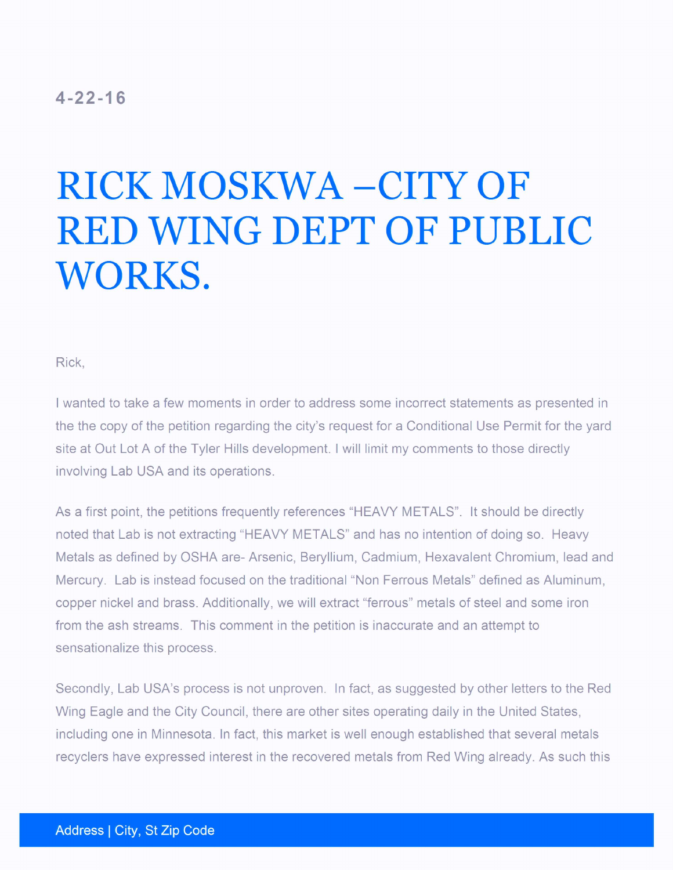## $4 - 22 - 16$

## RICK MOSKWA - CITY OF RED WING DEPT OF PUBLIC WORKS.

Rick,

<sup>I</sup> wanted to take a few moments in order to address some incorrect statements as presented in the the copy of the petition regarding the city's request for a Conditional Use Permit for the yard site at Out Lot A of the Tyler Hills development. I will limit my comments to those directly involving Lab USA and its operations.

As a first point, the petitions frequently references "HEAVY METALS". It should be directly noted that Lab is not extracting "HEAVY METALS" and has no intention of doing so. Heavy Metals as defined by OSHA are- Arsenic, Beryllium, Cadmium, Hexavalent Chromium, lead and Mercury. Lab is instead focused on the traditional " Non Ferrous Metals" defined as Aluminum, copper nickel and brass. Additionally, we will extract "ferrous" metals of steel and some iron from the ash streams. This comment in the petition is inaccurate and an attempt to sensationalize this process.

Secondly, Lab USA's process is not unproven. In fact, as suggested by other letters to the Red Wing Eagle and the City Council, there are other sites operating daily in the United States, including one in Minnesota. In fact, this market is well enough established that several metals recyclers have expressed interest in the recovered metals from Red Wing already. As such this